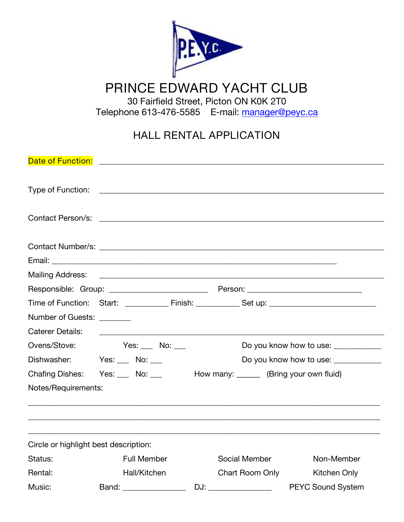

# **PRINCE EDWARD YACHT CLUB**

30 Fairfield Street, Picton ON K0K 2T0

Telephone 613-476-5585 E-mail: [manager@peyc.ca](mailto:manager@peyc.ca)

# **HALL RENTAL APPLICATION**

| Number of Guests: _______             |                                                                                                                                                                                                                                      |  |                 |                                     |  |  |  |  |
|---------------------------------------|--------------------------------------------------------------------------------------------------------------------------------------------------------------------------------------------------------------------------------------|--|-----------------|-------------------------------------|--|--|--|--|
| <b>Caterer Details:</b>               | <u>and the contract of the contract of the contract of the contract of the contract of the contract of the contract of the contract of the contract of the contract of the contract of the contract of the contract of the contr</u> |  |                 |                                     |  |  |  |  |
|                                       | Ovens/Stove: Yes: No: __                                                                                                                                                                                                             |  |                 | Do you know how to use: ___________ |  |  |  |  |
| Dishwasher: Yes: No: ___              | Do you know how to use: ____________                                                                                                                                                                                                 |  |                 |                                     |  |  |  |  |
|                                       | Chafing Dishes: Yes: No: No: How many: Merring your own fluid)                                                                                                                                                                       |  |                 |                                     |  |  |  |  |
| Notes/Requirements:                   |                                                                                                                                                                                                                                      |  |                 |                                     |  |  |  |  |
|                                       |                                                                                                                                                                                                                                      |  |                 |                                     |  |  |  |  |
| Circle or highlight best description: |                                                                                                                                                                                                                                      |  |                 |                                     |  |  |  |  |
| Status:                               | Full Member                                                                                                                                                                                                                          |  | Social Member   | Non-Member                          |  |  |  |  |
| Rental:                               | Hall/Kitchen                                                                                                                                                                                                                         |  | Chart Room Only | Kitchen Only                        |  |  |  |  |
| Music:                                | Band: _________________                                                                                                                                                                                                              |  |                 |                                     |  |  |  |  |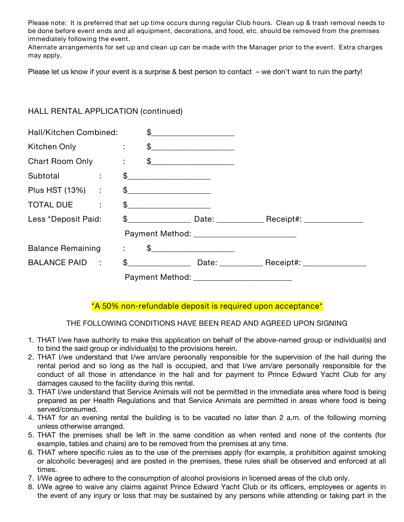Please note: It is preferred that set up time occurs during regular Club hours. Clean up & trash removal needs to be done before event ends and all equipment, decorations, and food, etc. should be removed from the premises *immediately following the event.*

Alternate arrangements for set up and clean up can be made with the Manager prior to the event. Extra charges *may apply.*

Please let us know if your event is a surprise  $\&$  best person to contact  $-$  we don't want to ruin the party!

## **HALL RENTAL APPLICATION (continued)**

| Hall/Kitchen Combined:   |                            |                       | $\mathfrak{S}$ |                   |  |
|--------------------------|----------------------------|-----------------------|----------------|-------------------|--|
| Kitchen Only             |                            | $\mathbb{C}^{\times}$ |                | $\frac{1}{2}$     |  |
| Chart Room Only :        |                            |                       |                | $\mathsf{\$}$     |  |
| Subtotal                 | $\mathcal{L}^{\text{max}}$ |                       | $\frac{1}{2}$  |                   |  |
| Plus HST (13%) :         |                            |                       | $\mathsf{\$}$  |                   |  |
| TOTAL DUE<br>÷           |                            |                       | $\mathfrak{S}$ |                   |  |
| Less *Deposit Paid:      |                            |                       |                |                   |  |
|                          |                            |                       |                |                   |  |
| <b>Balance Remaining</b> |                            | ÷                     |                | $\mathfrak{S}$    |  |
| BALANCE PAID :           |                            |                       | $\mathfrak s$  | Date: ___________ |  |
|                          |                            |                       |                |                   |  |

### **\*A 50% non-refundable deposit is required upon acceptance\***

### **THE FOLLOWING CONDITIONS HAVE BEEN READ AND AGREED UPON SIGNING**

- 1. THAT I/we have authority to make this application on behalf of the above-named group or individual(s) and to bind the said group or individual(s) to the provisions herein.
- 2. THAT I/we understand that I/we am/are personally responsible for the supervision of the hall during the rental period and so long as the hall is occupied, and that I/we am/are personally responsible for the conduct of all those in attendance in the hall and for payment to Prince Edward Yacht Club for any damages caused to the facility during this rental.
- 3. THAT I/we understand that Service Animals will not be permitted in the immediate area where food is being prepared as per Health Regulations and that Service Animals are permitted in areas where food is being served/consumed.
- 4. THAT for an evening rental the building is to be vacated no later than 2 a.m. of the following morning unless otherwise arranged.
- 5. THAT the premises shall be left in the same condition as when rented and none of the contents (for example, tables and chairs) are to be removed from the premises at any time.
- 6. THAT where specific rules as to the use of the premises apply (for example, a prohibition against smoking or alcoholic beverages) and are posted in the premises, these rules shall be observed and enforced at all times.
- 7. I/We agree to adhere to the consumption of alcohol provisions in licensed areas of the club only.
- 8. I/We agree to waive any claims against Prince Edward Yacht Club or its officers, employees or agents in the event of any injury or loss that may be sustained by any persons while attending or taking part in the